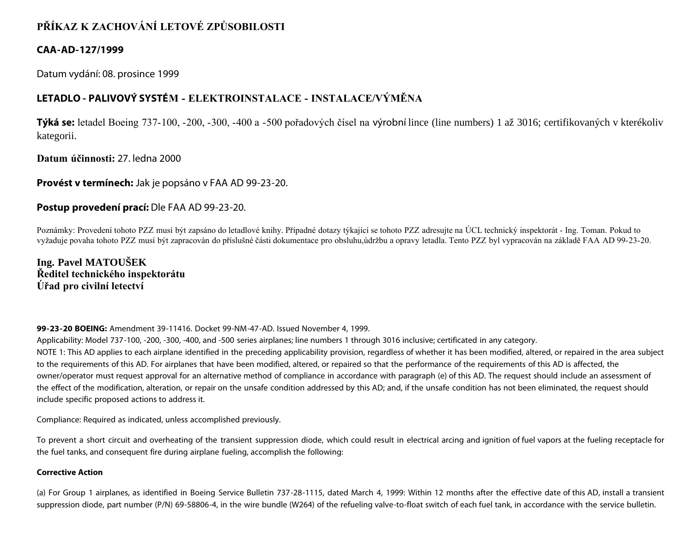# **PŘÍKAZ K ZACHOVÁNÍ LETOVÉ ZPŮSOBILOSTI**

# **CAA-AD-127/1999**

Datum vydání: 08. prosince 1999

# **LETADLO - PALIVOVÝ SYSTÉM - ELEKTROINSTALACE - INSTALACE/VÝMĚNA**

**Týká se:** letadel Boeing 737-100, -200, -300, -400 a -500 pořadových čísel na výrobní lince (line numbers) 1 až 3016; certifikovaných v kterékoliv kategorii.

**Datum účinnosti:** 27. ledna 2000

## **Provést v termínech:** Jak je popsáno v FAA AD 99-23-20.

# **Postup provedení prací:** Dle FAA AD 99-23-20.

Poznámky: Provedení tohoto PZZ musí být zapsáno do letadlové knihy. Případné dotazy týkající se tohoto PZZ adresujte na ÚCL technický inspektorát - Ing. Toman. Pokud to vyžaduje povaha tohoto PZZ musí být zapracován do příslušné části dokumentace pro obsluhu,údržbu a opravy letadla. Tento PZZ byl vypracován na základě FAA AD 99-23-20.

**Ing. Pavel MATOUŠEK Ředitel technického inspektorátu Úřad pro civilní letectví**

## **99-23-20 BOEING:** Amendment 39-11416. Docket 99-NM-47-AD. Issued November 4, 1999.

Applicability: Model 737-100, -200, -300, -400, and -500 series airplanes; line numbers 1 through 3016 inclusive; certificated in any category.

NOTE 1: This AD applies to each airplane identified in the preceding applicability provision, regardless of whether it has been modified, altered, or repaired in the area subject to the requirements of this AD. For airplanes that have been modified, altered, or repaired so that the performance of the requirements of this AD is affected, the owner/operator must request approval for an alternative method of compliance in accordance with paragraph (e) of this AD. The request should include an assessment of the effect of the modification, alteration, or repair on the unsafe condition addressed by this AD; and, if the unsafe condition has not been eliminated, the request should include specific proposed actions to address it.

Compliance: Required as indicated, unless accomplished previously.

To prevent a short circuit and overheating of the transient suppression diode, which could result in electrical arcing and ignition of fuel vapors at the fueling receptacle for the fuel tanks, and consequent fire during airplane fueling, accomplish the following:

## **Corrective Action**

(a) For Group 1 airplanes, as identified in Boeing Service Bulletin 737-28-1115, dated March 4, 1999: Within 12 months after the effective date of this AD, install a transient suppression diode, part number (P/N) 69-58806-4, in the wire bundle (W264) of the refueling valve-to-float switch of each fuel tank, in accordance with the service bulletin.